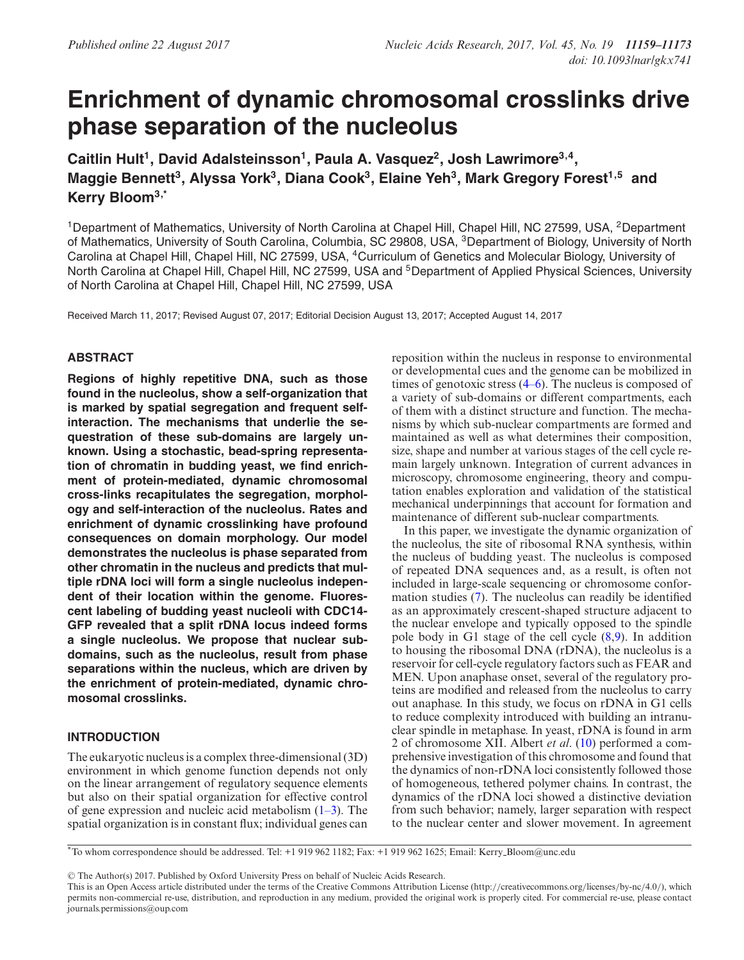# **Enrichment of dynamic chromosomal crosslinks drive phase separation of the nucleolus**

Caitlin Hult<sup>1</sup>, David Adalsteinsson<sup>1</sup>, Paula A. Vasquez<sup>2</sup>, Josh Lawrimore<sup>3,4</sup>, Maggie Bennett<sup>3</sup>, Alyssa York<sup>3</sup>, Diana Cook<sup>3</sup>, Elaine Yeh<sup>3</sup>, Mark Gregory Forest<sup>1,5</sup> and **Kerry Bloom3,\***

1Department of Mathematics, University of North Carolina at Chapel Hill, Chapel Hill, NC 27599, USA, 2Department of Mathematics, University of South Carolina, Columbia, SC 29808, USA, 3Department of Biology, University of North Carolina at Chapel Hill, Chapel Hill, NC 27599, USA, 4Curriculum of Genetics and Molecular Biology, University of North Carolina at Chapel Hill, Chapel Hill, NC 27599, USA and <sup>5</sup>Department of Applied Physical Sciences, University of North Carolina at Chapel Hill, Chapel Hill, NC 27599, USA

Received March 11, 2017; Revised August 07, 2017; Editorial Decision August 13, 2017; Accepted August 14, 2017

# **ABSTRACT**

**Regions of highly repetitive DNA, such as those found in the nucleolus, show a self-organization that is marked by spatial segregation and frequent selfinteraction. The mechanisms that underlie the sequestration of these sub-domains are largely unknown. Using a stochastic, bead-spring representation of chromatin in budding yeast, we find enrichment of protein-mediated, dynamic chromosomal cross-links recapitulates the segregation, morphology and self-interaction of the nucleolus. Rates and enrichment of dynamic crosslinking have profound consequences on domain morphology. Our model demonstrates the nucleolus is phase separated from other chromatin in the nucleus and predicts that multiple rDNA loci will form a single nucleolus independent of their location within the genome. Fluorescent labeling of budding yeast nucleoli with CDC14- GFP revealed that a split rDNA locus indeed forms a single nucleolus. We propose that nuclear subdomains, such as the nucleolus, result from phase separations within the nucleus, which are driven by the enrichment of protein-mediated, dynamic chromosomal crosslinks.**

# **INTRODUCTION**

The eukaryotic nucleus is a complex three-dimensional (3D) environment in which genome function depends not only on the linear arrangement of regulatory sequence elements but also on their spatial organization for effective control of gene expression and nucleic acid metabolism  $(1-3)$ . The spatial organization is in constant fux; individual genes can

reposition within the nucleus in response to environmental or developmental cues and the genome can be mobilized in times of genotoxic stress [\(4–6\)](#page-12-0). The nucleus is composed of a variety of sub-domains or different compartments, each of them with a distinct structure and function. The mechanisms by which sub-nuclear compartments are formed and maintained as well as what determines their composition, size, shape and number at various stages of the cell cycle remain largely unknown. Integration of current advances in microscopy, chromosome engineering, theory and computation enables exploration and validation of the statistical mechanical underpinnings that account for formation and maintenance of different sub-nuclear compartments.

In this paper, we investigate the dynamic organization of the nucleolus, the site of ribosomal RNA synthesis, within the nucleus of budding yeast. The nucleolus is composed of repeated DNA sequences and, as a result, is often not included in large-scale sequencing or chromosome conformation studies [\(7\)](#page-13-0). The nucleolus can readily be identifed as an approximately crescent-shaped structure adjacent to the nuclear envelope and typically opposed to the spindle pole body in G1 stage of the cell cycle  $(8,9)$ . In addition to housing the ribosomal DNA (rDNA), the nucleolus is a reservoir for cell-cycle regulatory factors such as FEAR and MEN. Upon anaphase onset, several of the regulatory proteins are modifed and released from the nucleolus to carry out anaphase. In this study, we focus on rDNA in G1 cells to reduce complexity introduced with building an intranuclear spindle in metaphase. In yeast, rDNA is found in arm 2 of chromosome XII. Albert *et al*. [\(10\)](#page-13-0) performed a comprehensive investigation of this chromosome and found that the dynamics of non-rDNA loci consistently followed those of homogeneous, tethered polymer chains. In contrast, the dynamics of the rDNA loci showed a distinctive deviation from such behavior; namely, larger separation with respect to the nuclear center and slower movement. In agreement

⃝<sup>C</sup> The Author(s) 2017. Published by Oxford University Press on behalf of Nucleic Acids Research.

<sup>\*</sup>To whom correspondence should be addressed. Tel: +1 919 962 1182; Fax: +1 919 962 1625; Email: Kerry Bloom@unc.edu

This is an Open Access article distributed under the terms of the Creative Commons Attribution License (http://creativecommons.org/licenses/by-nc/4.0/), which permits non-commercial re-use, distribution, and reproduction in any medium, provided the original work is properly cited. For commercial re-use, please contact journals.permissions@oup.com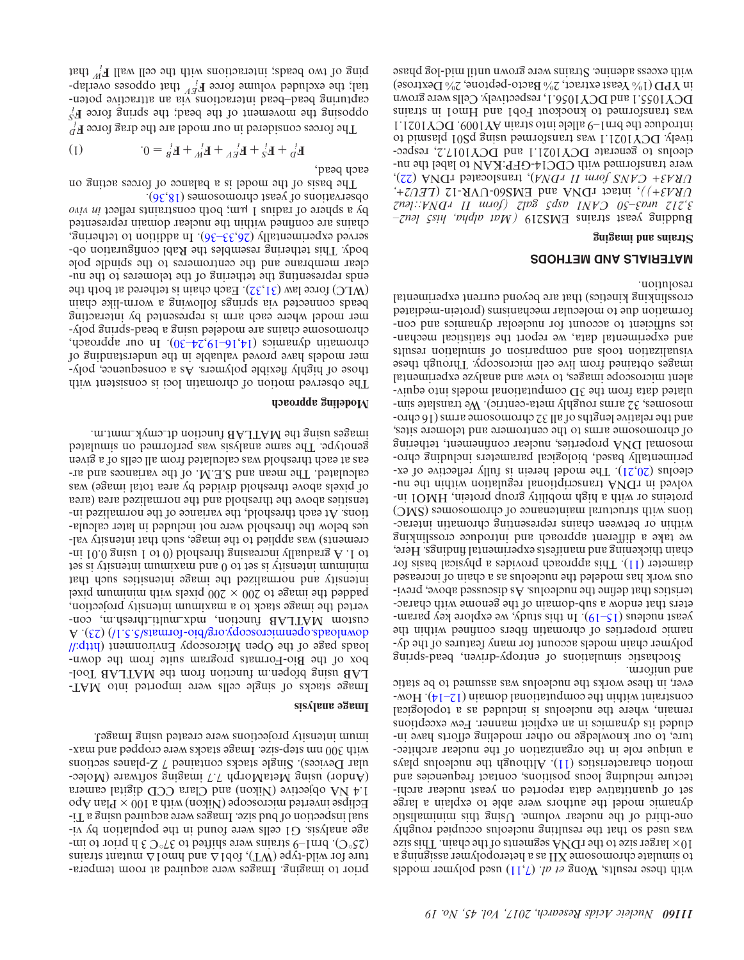with these results, Wong *et al*  $\langle$   $\cdot$   $\rangle$  [11](#page-13-0)  $\rangle$  used polymer models to simulate chromosome XII as a heteropolymer assigning a l $0 \times$  larger size to the rDNA segments of the chain. This size was neeq eup the the reantine moreone or paid and a resulting that the resulting  $\mu$ one-third of the nuclear volume. Using this minimalistic dynamic model the authors were able to explain <sup>a</sup> large set of quantitative data reported on yeast nuclear architecture including locus contact frequencies and put motion characteristics  $(11)$  $(11)$  $(11)$ . Although the nucleolus plays a unique role in the organization of the nuclear architecture, to our knowledge no other modeling griorits have included its dynamics in an explicit manner. Few exceptions remain, where the nucleolus is included as <sup>a</sup> topological  $\text{F-MD}$  11–71 computational domain ([12–14](#page-13-0)). However, in these works the nucleolus was assumed to be static and uniform.

Stochastic simulations of entropy-dominations of summer surface summer surface surface surface surface surface polymer chain models account for many features of the dyneut better the formatin the resultion for the paper in the properties of the sum in  $\alpha$ ). Figure  $(1-\epsilon)$  in this study, we explore key parameters that endow a sub-domain of the genome with characterristics that define the nucleolus. As discussed above, previous work has modeled the nucleolus as a chain of increased diameter  $(11)$  $(11)$  $(11)$ . This approach provides a physical basis for chain thickening and manifests experimental findings. Here, we take <sup>a</sup> different approach and introduce crosslinking within or between chains representing chromatin interactions with structural maintenance of chromosomes (SMC) proteins or with a high mobility group protein, HMO1 involved in rDNA transcriptional regulation within the nuelective of  $20$ ,  $10$  and  $100$  is fully in the  $20$  cxperimentally based, biological parameters including chronosomal DNA properties, nuclear confinement, tethering of chromosome arms to the centromere and telomere sites, and the relative lengths of all 32 chromosome arms (16 chromosomes, 32 arms roughly meta-centric). We translate simulated data from the 3D computational models into equivalent microscope images, to view and analyze experimental images obtained from live cell microscopy. Through these visualization tools and comparison of simulation results and experimental data, we report the statistical mechanics antheient to account for nucleolar dynamics and conformation due to molecular mechanisms (protein-mediated crosslinking kinetics) that are beyond current experimental resolution.

#### **MATERIALS AND METHODS**

#### **Strains and imaging**

*Matrice <i>Aeros apar alpha, bility by GITS**Matrice bushess is engaged*  $\alpha$ *3,212 ura3–50 CAN1 asp5 gal2 (form I1 rDNA::leu2*  $L(FV)$ <sup>2</sup> intact rDNA and EMS60-UVR-12 (*LEU2+*)  $\frac{1}{2}$   $\frac{1}{2}$   $\frac{1}{2}$   $\frac{1}{2}$   $\frac{1}{2}$   $\frac{1}{2}$   $\frac{1}{2}$   $\frac{1}{2}$   $\frac{1}{2}$   $\frac{1}{2}$   $\frac{1}{2}$   $\frac{1}{2}$   $\frac{1}{2}$   $\frac{1}{2}$   $\frac{1}{2}$   $\frac{1}{2}$   $\frac{1}{2}$   $\frac{1}{2}$   $\frac{1}{2}$   $\frac{1}{2}$   $\frac{1}{2}$   $\frac{1}{2}$  were transformed with CDC14-GFP:KAN to label the nucleolus to generate DCY1021.1 and DCY1017.2, respectively. DCY1021.1 was transformed using pS01 plasmid to introduce the brn1–9 allele into strain AY1009. DCY1021.1 was transformed to knockout Fob1 and Hmo1 in strains DCX1055.1 and DCY1056.1, respectively. Cells were grown in YPD (1% Yeast extract, 2% Bacto-peptone, 2% Dextrose) with excess adenine. Strains were grown until mid-log phase

prior to imaging. Images were acquired at room temperature for wild-type (WT), fob1  $\Delta$  ind hmo1  $\Delta$  interms strains  $(2^{\circ}C)$ . brn1–9 strains were shifted to 3 $\Gamma$ °C 3 h prior to image analysis. G1 cells were found in the population by visual inspection of bud size. Images were acquired using a Ti- $\log \mathrm{m}$  and  $\log \mathrm{m}$  and  $\log \mathrm{m}$  and  $\log \mathrm{m}$ 1.4 NA objective (Mikon) and Clara CCD digital camera (Andor) using MetaMorph 7.7 imaging software (Molecular Devices). Single stacks contained 7 Z-planes sections with 300 nm step-size. Image stacks were cropped and max-

imum intensity projections were created using ImageJ.

# **Image analysis**

Image stacks of single cells were imported into MAT-LAB using bfopen.m function from the MATLAB Toolbox of the Bio-Formats program suite from the downloads page of the Open Microscopy Environment (http://  $A \cdot (\xi_2)$  (1.2.3.1.3.2.1). A stringlength original strings of  $\eta$ . A string original strings of  $\eta$ . thresh.m, MATLAB function, max-multi-thresh- moreverted the image stack to <sup>a</sup> maximum intensity projection, paded the image to 200  $\times$  200 padded the image to 200 padded the image to 201 minimum pixel intensity and normalized the image intensities such that pos si Ansuojui mnum kun pue 0 01 jos si Ansuojui mnumum to 1. A gradually increasing threshold (0 to 1 on 10.0 gms  $\alpha$ .1 or crements) was applied to the image, such that intensity values below the threshold were not included in later calculations. At each threshold, the variance of the normalized intensities above the threshold and the normalized area (area of pixels above threshold divided by area total image) was calculated. The mean and S.E.M. of the variances and areas at each threshold was calculated from all cells of <sup>a</sup> given genotype. The same analysis was performed on simulated mages using the MATLAB function dt. cmyk mut.m.

**Modeling approach**

The observed motion of chromatin loci is consistent with those of highly flexible polymers. As a consequence, polymer models have proved valuable in the understanding of chromatin dynamics  $(14.16-19.24-30)$  $(14.16-19.24-30)$  $(14.16-19.24-30)$ . In our approach, chromosome chains are modeled using a bead-spring polymer model where each arm is represented by interacting beads connected via springs following <sup>a</sup> worm-like chain (MLC) force law  $(31,32)$  $(31,32)$  $(31,32)$ . Each chain is tethered at both the ends representing the tethering of the telomeres to the nuclear membrane and the centromeres to the spindle pole body. This tethering resembles the Rabl configuration observed experimentally ( $2.53$ – $36$ , 11 addition to tethering, chains are confined within the nuclear are memoral represented p) a sphere of radius 1  $\mu$ m; both constraints reflect in vivo

 $(9\xi \cdot 81)$  samosomordo issay to subtraining observations. The basis of the model is <sup>a</sup> balance of forces acting on each bead,

$$
\mathbf{E}_{\mathbf{D}}^1 + \mathbf{E}_{\mathbf{Z}}^1 + \mathbf{E}_{\mathbf{E}}^1 + \mathbf{E}_{\mathbf{M}}^1 + \mathbf{E}_{\mathbf{B}}^1 = 0.
$$
 (1)

The forces considered in our model are the drag force  $\mathbf{F}_l^D$ **<sup>F</sup>** opposing the movement of the bead; the spring force *<sup>S</sup> i* capturing bead–bead interactions via an attractive potential; the excluded volume force  $\mathbf{F}^\mathrm{F}_\mathrm{E} \mathbf{V}$  that opposes overlap-**<sup>F</sup>** ping of two beads; interactions with the cell wall *<sup>W</sup> <sup>i</sup>* that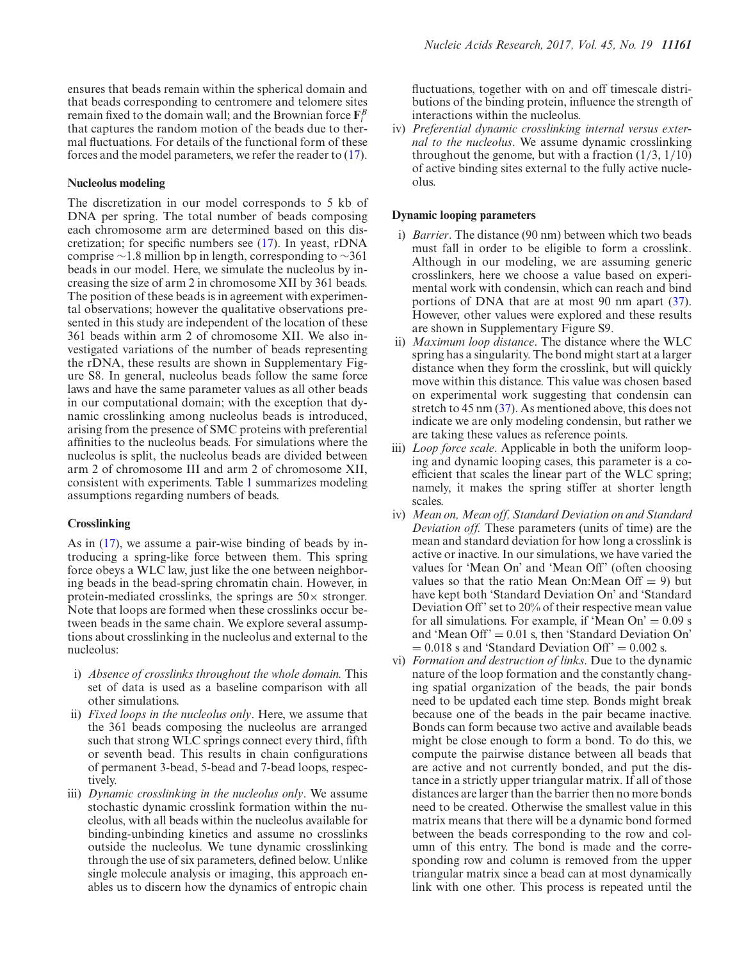forces and the model parameters, we refer the reader to [\(17\)](#page-13-0).

#### **Nucleolus modeling**

The discretization in our model corresponds to 5 kb of DNA per spring. The total number of beads composing each chromosome arm are determined based on this discretization; for specifc numbers see [\(17\)](#page-13-0). In yeast, rDNA comprise ∼1.8 million bp in length, corresponding to ∼361 beads in our model. Here, we simulate the nucleolus by increasing the size of arm 2 in chromosome XII by 361 beads. The position of these beads is in agreement with experimental observations; however the qualitative observations presented in this study are independent of the location of these 361 beads within arm 2 of chromosome XII. We also investigated variations of the number of beads representing the rDNA, these results are shown in Supplementary Figure S8. In general, nucleolus beads follow the same force laws and have the same parameter values as all other beads in our computational domain; with the exception that dynamic crosslinking among nucleolus beads is introduced, arising from the presence of SMC proteins with preferential affnities to the nucleolus beads. For simulations where the nucleolus is split, the nucleolus beads are divided between arm 2 of chromosome III and arm 2 of chromosome XII, consistent with experiments. Table [1](#page-3-0) summarizes modeling assumptions regarding numbers of beads.

### **Crosslinking**

As in [\(17\)](#page-13-0), we assume a pair-wise binding of beads by introducing a spring-like force between them. This spring force obeys a WLC law, just like the one between neighboring beads in the bead-spring chromatin chain. However, in protein-mediated crosslinks, the springs are  $50\times$  stronger. Note that loops are formed when these crosslinks occur between beads in the same chain. We explore several assumptions about crosslinking in the nucleolus and external to the nucleolus:

- i) *Absence of crosslinks throughout the whole domain.* This set of data is used as a baseline comparison with all other simulations.
- ii) *Fixed loops in the nucleolus only*. Here, we assume that the 361 beads composing the nucleolus are arranged such that strong WLC springs connect every third, ffth or seventh bead. This results in chain confgurations of permanent 3-bead, 5-bead and 7-bead loops, respectively.
- iii) *Dynamic crosslinking in the nucleolus only*. We assume stochastic dynamic crosslink formation within the nucleolus, with all beads within the nucleolus available for binding-unbinding kinetics and assume no crosslinks outside the nucleolus. We tune dynamic crosslinking through the use of six parameters, defned below. Unlike single molecule analysis or imaging, this approach enables us to discern how the dynamics of entropic chain

fuctuations, together with on and off timescale distributions of the binding protein, infuence the strength of interactions within the nucleolus.

iv) *Preferential dynamic crosslinking internal versus external to the nucleolus*. We assume dynamic crosslinking throughout the genome, but with a fraction  $(1/3, 1/10)$ of active binding sites external to the fully active nucleolus.

#### **Dynamic looping parameters**

- i) *Barrier*. The distance (90 nm) between which two beads must fall in order to be eligible to form a crosslink. Although in our modeling, we are assuming generic crosslinkers, here we choose a value based on experimental work with condensin, which can reach and bind portions of DNA that are at most 90 nm apart [\(37\)](#page-13-0). However, other values were explored and these results are shown in Supplementary Figure S9.
- ii) *Maximum loop distance*. The distance where the WLC spring has a singularity. The bond might start at a larger distance when they form the crosslink, but will quickly move within this distance. This value was chosen based on experimental work suggesting that condensin can stretch to 45 nm [\(37\)](#page-13-0). As mentioned above, this does not indicate we are only modeling condensin, but rather we are taking these values as reference points.
- iii) *Loop force scale*. Applicable in both the uniform looping and dynamic looping cases, this parameter is a coefficient that scales the linear part of the WLC spring; namely, it makes the spring stiffer at shorter length scales.
- iv) *Mean on, Mean off, Standard Deviation on and Standard Deviation off.* These parameters (units of time) are the mean and standard deviation for how long a crosslink is active or inactive. In our simulations, we have varied the values for 'Mean On' and 'Mean Off' (often choosing values so that the ratio Mean On: Mean Off  $= 9$ ) but have kept both 'Standard Deviation On' and 'Standard Deviation Off' set to 20% of their respective mean value for all simulations. For example, if 'Mean  $On' = 0.09$  s and 'Mean Off'  $= 0.01$  s, then 'Standard Deviation On'  $= 0.018$  s and 'Standard Deviation Off'  $= 0.002$  s.
- vi) *Formation and destruction of links*. Due to the dynamic nature of the loop formation and the constantly changing spatial organization of the beads, the pair bonds need to be updated each time step. Bonds might break because one of the beads in the pair became inactive. Bonds can form because two active and available beads might be close enough to form a bond. To do this, we compute the pairwise distance between all beads that are active and not currently bonded, and put the distance in a strictly upper triangular matrix. If all of those distances are larger than the barrier then no more bonds need to be created. Otherwise the smallest value in this matrix means that there will be a dynamic bond formed between the beads corresponding to the row and column of this entry. The bond is made and the corresponding row and column is removed from the upper triangular matrix since a bead can at most dynamically link with one other. This process is repeated until the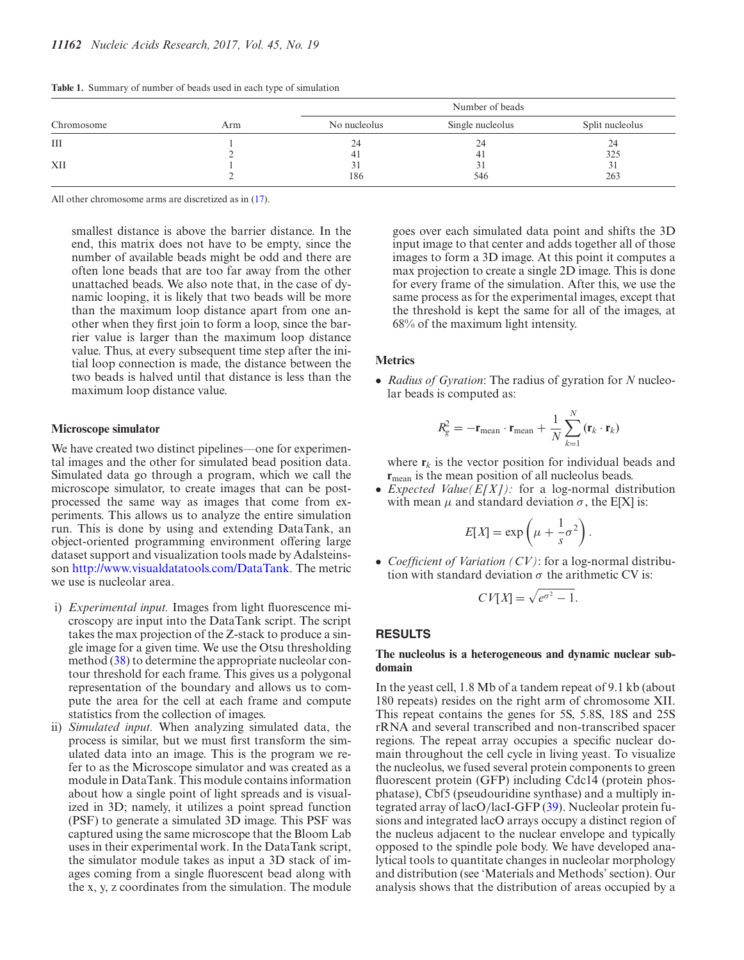| Chromosome | Arm | Number of beads |                  |                 |
|------------|-----|-----------------|------------------|-----------------|
|            |     | No nucleolus    | Single nucleolus | Split nucleolus |
| III        |     | 24              | 24               | 24              |
|            |     | -41             | 4 I              | 325             |
| XII        |     | 31              |                  |                 |
|            |     | 186             | 546              | 263             |

<span id="page-3-0"></span>**Table 1.** Summary of number of beads used in each type of simulation

All other chromosome arms are discretized as in [\(17\)](#page-13-0).

smallest distance is above the barrier distance. In the end, this matrix does not have to be empty, since the number of available beads might be odd and there are often lone beads that are too far away from the other unattached beads. We also note that, in the case of dynamic looping, it is likely that two beads will be more than the maximum loop distance apart from one another when they frst join to form a loop, since the barrier value is larger than the maximum loop distance value. Thus, at every subsequent time step after the initial loop connection is made, the distance between the two beads is halved until that distance is less than the maximum loop distance value.

# **Microscope simulator**

We have created two distinct pipelines—one for experimental images and the other for simulated bead position data. Simulated data go through a program, which we call the microscope simulator, to create images that can be postprocessed the same way as images that come from experiments. This allows us to analyze the entire simulation run. This is done by using and extending DataTank, an object-oriented programming environment offering large dataset support and visualization tools made by Adalsteinsson [http://www.visualdatatools.com/DataTank.](http://www.visualdatatools.com/DataTank) The metric we use is nucleolar area.

- i) *Experimental input.* Images from light fuorescence microscopy are input into the DataTank script. The script takes the max projection of the Z-stack to produce a single image for a given time. We use the Otsu thresholding method [\(38\)](#page-13-0) to determine the appropriate nucleolar contour threshold for each frame. This gives us a polygonal representation of the boundary and allows us to compute the area for the cell at each frame and compute statistics from the collection of images.
- ii) *Simulated input.* When analyzing simulated data, the process is similar, but we must frst transform the simulated data into an image. This is the program we refer to as the Microscope simulator and was created as a module in DataTank. This module contains information about how a single point of light spreads and is visualized in 3D; namely, it utilizes a point spread function (PSF) to generate a simulated 3D image. This PSF was captured using the same microscope that the Bloom Lab uses in their experimental work. In the DataTank script, the simulator module takes as input a 3D stack of images coming from a single fuorescent bead along with the x, y, z coordinates from the simulation. The module

goes over each simulated data point and shifts the 3D input image to that center and adds together all of those images to form a 3D image. At this point it computes a max projection to create a single 2D image. This is done for every frame of the simulation. After this, we use the same process as for the experimental images, except that the threshold is kept the same for all of the images, at 68% of the maximum light intensity.

### **Metrics**

• *Radius of Gyration*: The radius of gyration for *N* nucleolar beads is computed as:

$$
R_g^2 = -\mathbf{r}_{\text{mean}} \cdot \mathbf{r}_{\text{mean}} + \frac{1}{N} \sum_{k=1}^{N} (\mathbf{r}_k \cdot \mathbf{r}_k)
$$

where  $\mathbf{r}_k$  is the vector position for individual beads and **r**mean is the mean position of all nucleolus beads.

• *Expected Value(E[X]):* for a log-normal distribution with mean  $\mu$  and standard deviation  $\sigma$ , the E[X] is:

$$
E[X] = \exp\left(\mu + \frac{1}{s}\sigma^2\right).
$$

• *Coeffcient of Variation (CV)*: for a log-normal distribution with standard deviation  $\sigma$  the arithmetic CV is:

$$
CV[X] = \sqrt{e^{\sigma^2} - 1}.
$$

### **RESULTS**

# **The nucleolus is a heterogeneous and dynamic nuclear subdomain**

In the yeast cell, 1.8 Mb of a tandem repeat of 9.1 kb (about 180 repeats) resides on the right arm of chromosome XII. This repeat contains the genes for 5S, 5.8S, 18S and 25S rRNA and several transcribed and non-transcribed spacer regions. The repeat array occupies a specifc nuclear domain throughout the cell cycle in living yeast. To visualize the nucleolus, we fused several protein components to green fluorescent protein (GFP) including Cdc14 (protein phosphatase), Cbf5 (pseudouridine synthase) and a multiply integrated array of lacO/lacI-GFP [\(39\)](#page-13-0). Nucleolar protein fusions and integrated lacO arrays occupy a distinct region of the nucleus adjacent to the nuclear envelope and typically opposed to the spindle pole body. We have developed analytical tools to quantitate changes in nucleolar morphology and distribution (see 'Materials and Methods' section). Our analysis shows that the distribution of areas occupied by a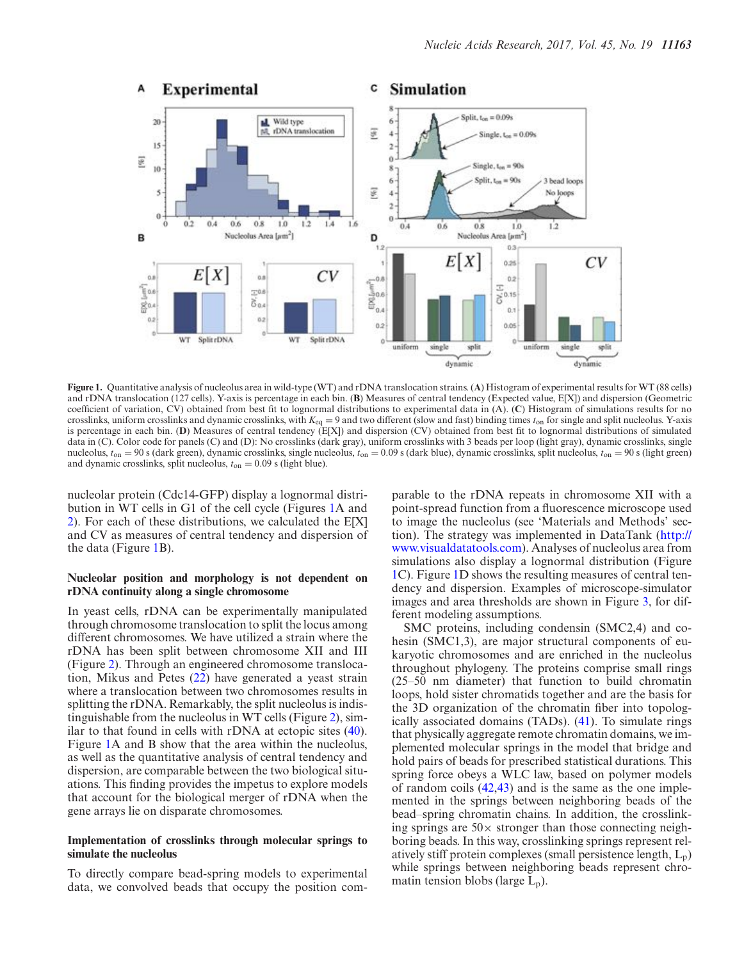

**Figure 1.** Quantitative analysis of nucleolus area in wild-type (WT) and rDNA translocation strains. (**A**) Histogram of experimental results for WT (88 cells) and rDNA translocation (127 cells). Y-axis is percentage in each bin. (**B**) Measures of central tendency (Expected value, E[X]) and dispersion (Geometric coeffcient of variation, CV) obtained from best ft to lognormal distributions to experimental data in (A). (**C**) Histogram of simulations results for no crosslinks, uniform crosslinks and dynamic crosslinks, with *K*eq = 9 and two different (slow and fast) binding times *t*on for single and split nucleolus. Y-axis is percentage in each bin. (**D**) Measures of central tendency (E[X]) and dispersion (CV) obtained from best ft to lognormal distributions of simulated data in (C). Color code for panels (C) and (D): No crosslinks (dark gray), uniform crosslinks with 3 beads per loop (light gray), dynamic crosslinks, single nucleolus,  $t_{on} = 90$  s (dark green), dynamic crosslinks, single nucleolus,  $t_{on} = 0.09$  s (dark blue), dynamic crosslinks, split nucleolus,  $t_{on} = 90$  s (light green) and dynamic crosslinks, split nucleolus,  $t_{on} = 0.09$  s (light blue).

nucleolar protein (Cdc14-GFP) display a lognormal distribution in WT cells in G1 of the cell cycle (Figures 1A and [2\)](#page-5-0). For each of these distributions, we calculated the E[X] and CV as measures of central tendency and dispersion of the data (Figure 1B).

#### **Nucleolar position and morphology is not dependent on rDNA continuity along a single chromosome**

In yeast cells, rDNA can be experimentally manipulated through chromosome translocation to split the locus among different chromosomes. We have utilized a strain where the rDNA has been split between chromosome XII and III (Figure [2\)](#page-5-0). Through an engineered chromosome translocation, Mikus and Petes [\(22\)](#page-13-0) have generated a yeast strain where a translocation between two chromosomes results in splitting the rDNA. Remarkably, the split nucleolus is indistinguishable from the nucleolus in WT cells (Figure [2\)](#page-5-0), similar to that found in cells with rDNA at ectopic sites [\(40\)](#page-13-0). Figure 1A and B show that the area within the nucleolus, as well as the quantitative analysis of central tendency and dispersion, are comparable between the two biological situations. This fnding provides the impetus to explore models that account for the biological merger of rDNA when the gene arrays lie on disparate chromosomes.

# **Implementation of crosslinks through molecular springs to simulate the nucleolus**

To directly compare bead-spring models to experimental data, we convolved beads that occupy the position comparable to the rDNA repeats in chromosome XII with a point-spread function from a fuorescence microscope used to image the nucleolus (see 'Materials and Methods' sec[tion\). The strategy was implemented in DataTank \(http://](http://www.visualdatatools.com) www.visualdatatools.com). Analyses of nucleolus area from simulations also display a lognormal distribution (Figure 1C). Figure 1D shows the resulting measures of central tendency and dispersion. Examples of microscope-simulator images and area thresholds are shown in Figure [3,](#page-5-0) for different modeling assumptions.

SMC proteins, including condensin (SMC2,4) and cohesin (SMC1,3), are major structural components of eukaryotic chromosomes and are enriched in the nucleolus throughout phylogeny. The proteins comprise small rings (25–50 nm diameter) that function to build chromatin loops, hold sister chromatids together and are the basis for the 3D organization of the chromatin fber into topologically associated domains (TADs). [\(41\)](#page-13-0). To simulate rings that physically aggregate remote chromatin domains, we implemented molecular springs in the model that bridge and hold pairs of beads for prescribed statistical durations. This spring force obeys a WLC law, based on polymer models of random coils [\(42,43\)](#page-13-0) and is the same as the one implemented in the springs between neighboring beads of the bead–spring chromatin chains. In addition, the crosslinking springs are  $50\times$  stronger than those connecting neighboring beads. In this way, crosslinking springs represent relatively stiff protein complexes (small persistence length,  $L_p$ ) while springs between neighboring beads represent chromatin tension blobs (large  $L_p$ ).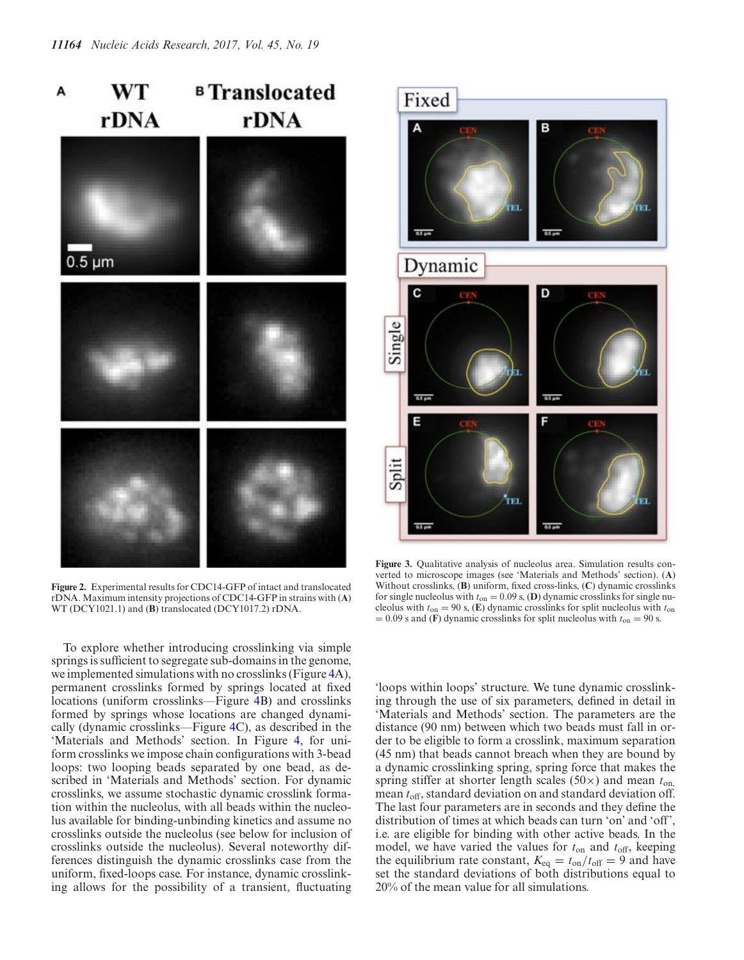<span id="page-5-0"></span>

**Figure 2.** Experimental results for CDC14-GFP of intact and translocated rDNA. Maximum intensity projections of CDC14-GFP in strains with (**A**) WT (DCY1021.1) and (**B**) translocated (DCY1017.2) rDNA.

To explore whether introducing crosslinking via simple springs is sufficient to segregate sub-domains in the genome, we implemented simulations with no crosslinks (Figure [4A](#page-6-0)), permanent crosslinks formed by springs located at fxed locations (uniform crosslinks––Figure [4B](#page-6-0)) and crosslinks formed by springs whose locations are changed dynamically (dynamic crosslinks––Figure [4C](#page-6-0)), as described in the 'Materials and Methods' section. In Figure [4,](#page-6-0) for uniform crosslinks we impose chain confgurations with 3-bead loops: two looping beads separated by one bead, as described in 'Materials and Methods' section. For dynamic crosslinks, we assume stochastic dynamic crosslink formation within the nucleolus, with all beads within the nucleolus available for binding-unbinding kinetics and assume no crosslinks outside the nucleolus (see below for inclusion of crosslinks outside the nucleolus). Several noteworthy differences distinguish the dynamic crosslinks case from the uniform, fxed-loops case. For instance, dynamic crosslinking allows for the possibility of a transient, fuctuating



**Figure 3.** Qualitative analysis of nucleolus area. Simulation results converted to microscope images (see 'Materials and Methods' section). (**A**) Without crosslinks, (**B**) uniform, fxed cross-links, (**C**) dynamic crosslinks for single nucleolus with  $t_{on} = 0.09$  s, (D) dynamic crosslinks for single nucleolus with  $t_{on} = 90$  s, (**E**) dynamic crosslinks for split nucleolus with  $t_{on}$  $= 0.09$  s and (**F**) dynamic crosslinks for split nucleolus with  $t_{on} = 90$  s.

'loops within loops' structure. We tune dynamic crosslinking through the use of six parameters, defned in detail in 'Materials and Methods' section. The parameters are the distance (90 nm) between which two beads must fall in order to be eligible to form a crosslink, maximum separation (45 nm) that beads cannot breach when they are bound by a dynamic crosslinking spring, spring force that makes the spring stiffer at shorter length scales (50×) and mean *t*on, mean *t*off, standard deviation on and standard deviation off. The last four parameters are in seconds and they defne the distribution of times at which beads can turn 'on' and 'off', i.e. are eligible for binding with other active beads. In the model, we have varied the values for  $t_{on}$  and  $t_{off}$ , keeping the equilibrium rate constant,  $K_{eq} = t_{on}/t_{off} = 9$  and have set the standard deviations of both distributions equal to 20% of the mean value for all simulations.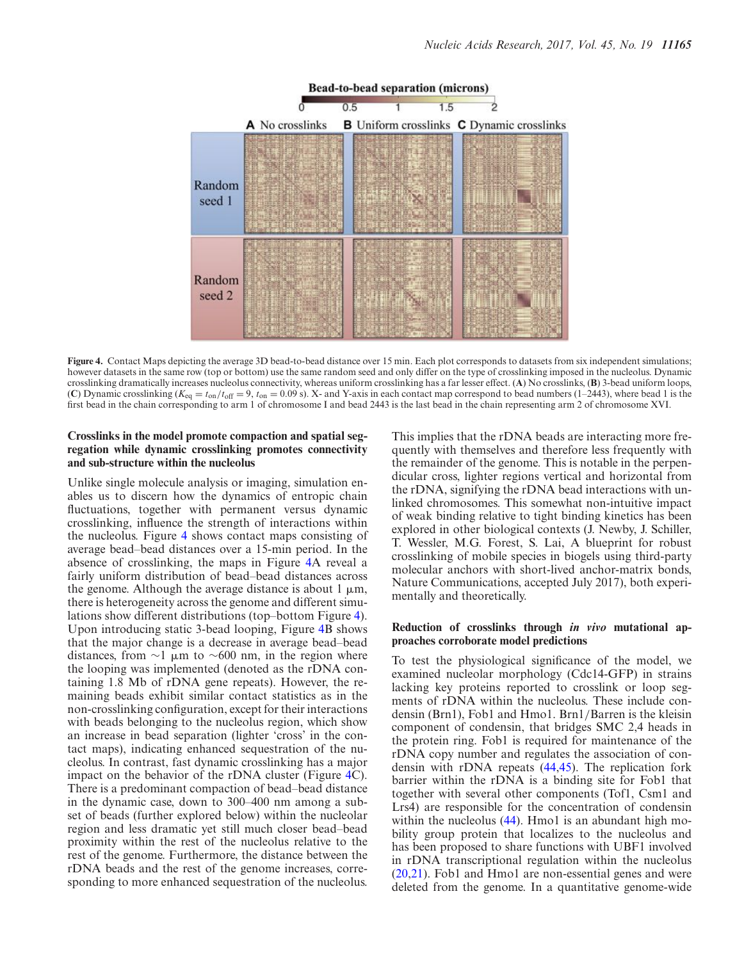<span id="page-6-0"></span>

**Figure 4.** Contact Maps depicting the average 3D bead-to-bead distance over 15 min. Each plot corresponds to datasets from six independent simulations; however datasets in the same row (top or bottom) use the same random seed and only differ on the type of crosslinking imposed in the nucleolus. Dynamic crosslinking dramatically increases nucleolus connectivity, whereas uniform crosslinking has a far lesser effect. (**A**) No crosslinks, (**B**) 3-bead uniform loops, (**C**) Dynamic crosslinking ( $K_{eq} = t_{on}/t_{off} = 9$ ,  $t_{on} = 0.09$  s). X- and Y-axis in each contact map correspond to bead numbers (1–2443), where bead 1 is the frst bead in the chain corresponding to arm 1 of chromosome I and bead 2443 is the last bead in the chain representing arm 2 of chromosome XVI.

# **Crosslinks in the model promote compaction and spatial segregation while dynamic crosslinking promotes connectivity and sub-structure within the nucleolus**

Unlike single molecule analysis or imaging, simulation enables us to discern how the dynamics of entropic chain fuctuations, together with permanent versus dynamic crosslinking, infuence the strength of interactions within the nucleolus. Figure 4 shows contact maps consisting of average bead–bead distances over a 15-min period. In the absence of crosslinking, the maps in Figure 4A reveal a fairly uniform distribution of bead–bead distances across the genome. Although the average distance is about 1  $\mu$ m, there is heterogeneity across the genome and different simulations show different distributions (top–bottom Figure 4). Upon introducing static 3-bead looping, Figure 4B shows that the major change is a decrease in average bead–bead distances, from ∼1  $\mu$ m to ∼600 nm, in the region where the looping was implemented (denoted as the rDNA containing 1.8 Mb of rDNA gene repeats). However, the remaining beads exhibit similar contact statistics as in the non-crosslinking confguration, except for their interactions with beads belonging to the nucleolus region, which show an increase in bead separation (lighter 'cross' in the contact maps), indicating enhanced sequestration of the nucleolus. In contrast, fast dynamic crosslinking has a major impact on the behavior of the rDNA cluster (Figure 4C). There is a predominant compaction of bead–bead distance in the dynamic case, down to 300–400 nm among a subset of beads (further explored below) within the nucleolar region and less dramatic yet still much closer bead–bead proximity within the rest of the nucleolus relative to the rest of the genome. Furthermore, the distance between the rDNA beads and the rest of the genome increases, corresponding to more enhanced sequestration of the nucleolus.

This implies that the rDNA beads are interacting more frequently with themselves and therefore less frequently with the remainder of the genome. This is notable in the perpendicular cross, lighter regions vertical and horizontal from the rDNA, signifying the rDNA bead interactions with unlinked chromosomes. This somewhat non-intuitive impact of weak binding relative to tight binding kinetics has been explored in other biological contexts (J. Newby, J. Schiller, T. Wessler, M.G. Forest, S. Lai, A blueprint for robust crosslinking of mobile species in biogels using third-party molecular anchors with short-lived anchor-matrix bonds, Nature Communications, accepted July 2017), both experimentally and theoretically.

# **Reduction of crosslinks through in vivo mutational approaches corroborate model predictions**

To test the physiological signifcance of the model, we examined nucleolar morphology (Cdc14-GFP) in strains lacking key proteins reported to crosslink or loop segments of rDNA within the nucleolus. These include condensin (Brn1), Fob1 and Hmo1. Brn1/Barren is the kleisin component of condensin, that bridges SMC 2,4 heads in the protein ring. Fob1 is required for maintenance of the rDNA copy number and regulates the association of condensin with rDNA repeats [\(44,45\)](#page-13-0). The replication fork barrier within the rDNA is a binding site for Fob1 that together with several other components (Tof1, Csm1 and Lrs4) are responsible for the concentration of condensin within the nucleolus  $(44)$ . Hmo1 is an abundant high mobility group protein that localizes to the nucleolus and has been proposed to share functions with UBF1 involved in rDNA transcriptional regulation within the nucleolus [\(20,21\)](#page-13-0). Fob1 and Hmo1 are non-essential genes and were deleted from the genome. In a quantitative genome-wide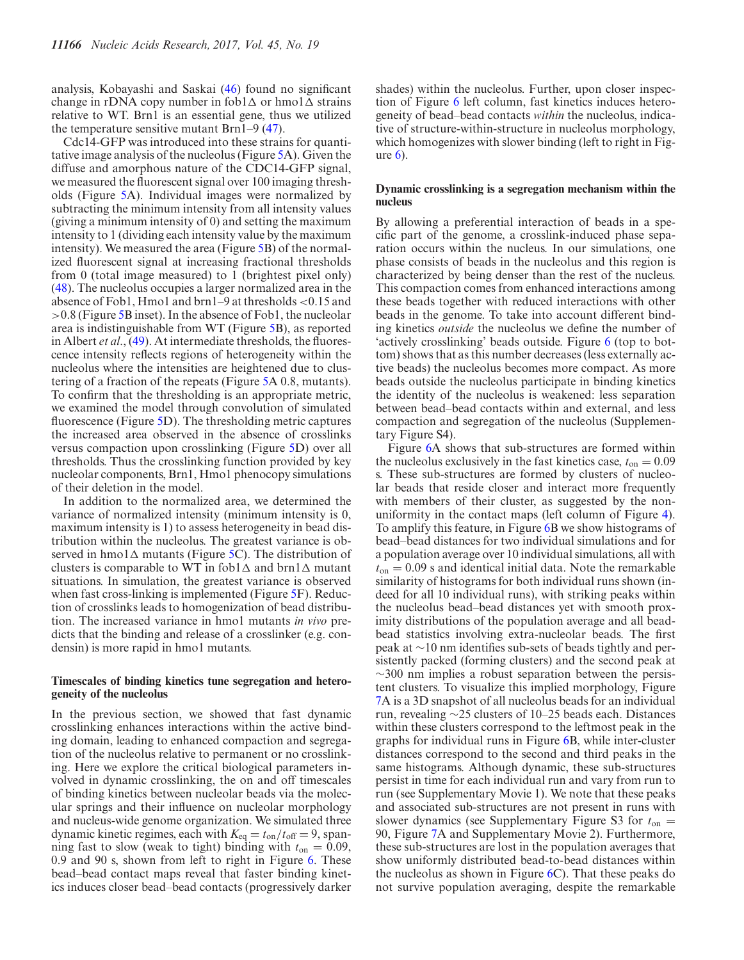analysis, Kobayashi and Saskai [\(46\)](#page-13-0) found no signifcant change in rDNA copy number in fob1 $\Delta$  or hmo1 $\Delta$  strains relative to WT. Brn1 is an essential gene, thus we utilized the temperature sensitive mutant Brn1–9 [\(47\)](#page-13-0).

Cdc14-GFP was introduced into these strains for quantitative image analysis of the nucleolus (Figure [5A](#page-8-0)). Given the diffuse and amorphous nature of the CDC14-GFP signal, we measured the fuorescent signal over 100 imaging thresholds (Figure [5A](#page-8-0)). Individual images were normalized by subtracting the minimum intensity from all intensity values (giving a minimum intensity of 0) and setting the maximum intensity to 1 (dividing each intensity value by the maximum intensity). We measured the area (Figure [5B](#page-8-0)) of the normalized fuorescent signal at increasing fractional thresholds from 0 (total image measured) to 1 (brightest pixel only) [\(48\)](#page-13-0). The nucleolus occupies a larger normalized area in the absence of Fob1, Hmo1 and brn1–9 at thresholds <0.15 and  $>0.8$  (Figure [5B](#page-8-0) inset). In the absence of Fob1, the nucleolar area is indistinguishable from WT (Figure [5B](#page-8-0)), as reported in Albert *et al*., [\(49\)](#page-13-0). At intermediate thresholds, the fuorescence intensity refects regions of heterogeneity within the nucleolus where the intensities are heightened due to clustering of a fraction of the repeats (Figure [5A](#page-8-0) 0.8, mutants). To confrm that the thresholding is an appropriate metric, we examined the model through convolution of simulated fluorescence (Figure [5D](#page-8-0)). The thresholding metric captures the increased area observed in the absence of crosslinks versus compaction upon crosslinking (Figure [5D](#page-8-0)) over all thresholds. Thus the crosslinking function provided by key nucleolar components, Brn1, Hmo1 phenocopy simulations of their deletion in the model.

In addition to the normalized area, we determined the variance of normalized intensity (minimum intensity is 0, maximum intensity is 1) to assess heterogeneity in bead distribution within the nucleolus. The greatest variance is observed in hmo1 $\Delta$  mutants (Figure [5C](#page-8-0)). The distribution of clusters is comparable to WT in fob1 $\Delta$  and brn1 $\Delta$  mutant situations. In simulation, the greatest variance is observed when fast cross-linking is implemented (Figure [5F](#page-8-0)). Reduction of crosslinks leads to homogenization of bead distribution. The increased variance in hmo1 mutants *in vivo* predicts that the binding and release of a crosslinker (e.g. condensin) is more rapid in hmo1 mutants.

# **Timescales of binding kinetics tune segregation and heterogeneity of the nucleolus**

In the previous section, we showed that fast dynamic crosslinking enhances interactions within the active binding domain, leading to enhanced compaction and segregation of the nucleolus relative to permanent or no crosslinking. Here we explore the critical biological parameters involved in dynamic crosslinking, the on and off timescales of binding kinetics between nucleolar beads via the molecular springs and their infuence on nucleolar morphology and nucleus-wide genome organization. We simulated three dynamic kinetic regimes, each with  $K_{eq} = t_{on}/t_{off} = 9$ , spanning fast to slow (weak to tight) binding with  $t_{on} = 0.09$ , 0.9 and 90 s, shown from left to right in Figure [6.](#page-9-0) These bead–bead contact maps reveal that faster binding kinetics induces closer bead–bead contacts (progressively darker shades) within the nucleolus. Further, upon closer inspection of Figure [6](#page-9-0) left column, fast kinetics induces heterogeneity of bead–bead contacts *within* the nucleolus, indicative of structure-within-structure in nucleolus morphology, which homogenizes with slower binding (left to right in Figure  $6$ ).

### **Dynamic crosslinking is a segregation mechanism within the nucleus**

By allowing a preferential interaction of beads in a specifc part of the genome, a crosslink-induced phase separation occurs within the nucleus. In our simulations, one phase consists of beads in the nucleolus and this region is characterized by being denser than the rest of the nucleus. This compaction comes from enhanced interactions among these beads together with reduced interactions with other beads in the genome. To take into account different binding kinetics *outside* the nucleolus we defne the number of 'actively crosslinking' beads outside. Figure [6](#page-9-0) (top to bottom) shows that as this number decreases (less externally active beads) the nucleolus becomes more compact. As more beads outside the nucleolus participate in binding kinetics the identity of the nucleolus is weakened: less separation between bead–bead contacts within and external, and less compaction and segregation of the nucleolus (Supplementary Figure S4).

Figure [6A](#page-9-0) shows that sub-structures are formed within the nucleolus exclusively in the fast kinetics case,  $t_{on} = 0.09$ s. These sub-structures are formed by clusters of nucleolar beads that reside closer and interact more frequently with members of their cluster, as suggested by the nonuniformity in the contact maps (left column of Figure [4\)](#page-6-0). To amplify this feature, in Figure [6B](#page-9-0) we show histograms of bead–bead distances for two individual simulations and for a population average over 10 individual simulations, all with  $t_{\rm on} = 0.09$  s and identical initial data. Note the remarkable similarity of histograms for both individual runs shown (indeed for all 10 individual runs), with striking peaks within the nucleolus bead–bead distances yet with smooth proximity distributions of the population average and all beadbead statistics involving extra-nucleolar beads. The frst peak at ∼10 nm identifes sub-sets of beads tightly and persistently packed (forming clusters) and the second peak at  $\sim$ 300 nm implies a robust separation between the persistent clusters. To visualize this implied morphology, Figure [7A](#page-9-0) is a 3D snapshot of all nucleolus beads for an individual run, revealing ∼25 clusters of 10–25 beads each. Distances within these clusters correspond to the leftmost peak in the graphs for individual runs in Figure [6B](#page-9-0), while inter-cluster distances correspond to the second and third peaks in the same histograms. Although dynamic, these sub-structures persist in time for each individual run and vary from run to run (see Supplementary Movie 1). We note that these peaks and associated sub-structures are not present in runs with slower dynamics (see Supplementary Figure S3 for *t*on = 90, Figure [7A](#page-9-0) and Supplementary Movie 2). Furthermore, these sub-structures are lost in the population averages that show uniformly distributed bead-to-bead distances within the nucleolus as shown in Figure [6C](#page-9-0)). That these peaks do not survive population averaging, despite the remarkable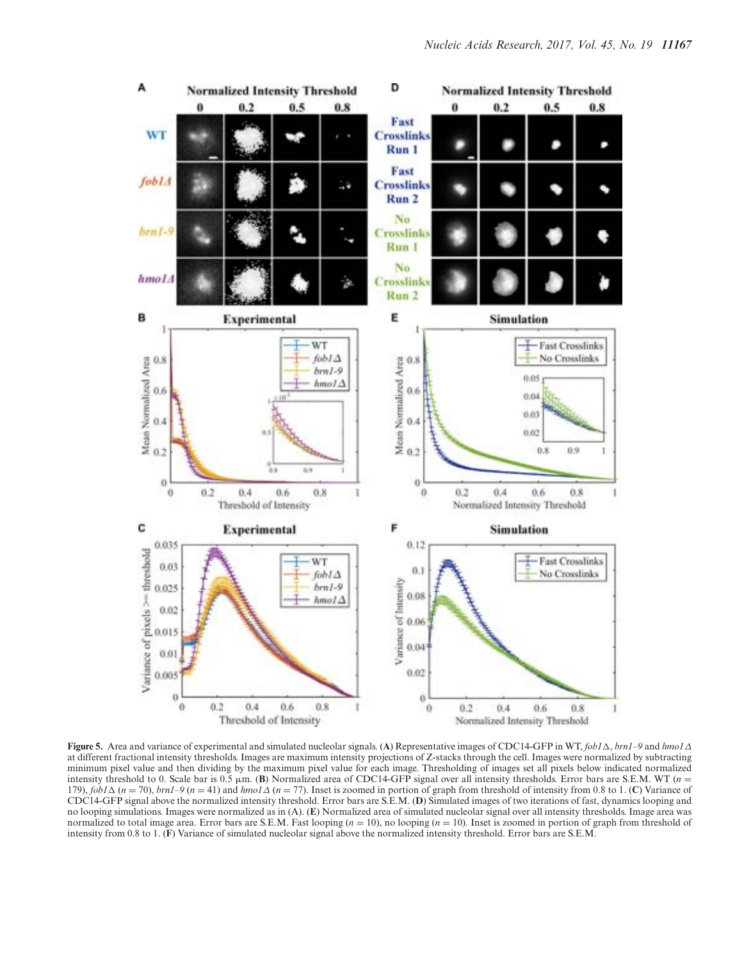<span id="page-8-0"></span>

**Figure 5.** Area and variance of experimental and simulated nucleolar signals. (**A**) Representative images of CDC14-GFP in WT, *fob1*!, *brn1–9* and *hmo1*∆ at different fractional intensity thresholds. Images are maximum intensity projections of Z-stacks through the cell. Images were normalized by subtracting minimum pixel value and then dividing by the maximum pixel value for each image. Thresholding of images set all pixels below indicated normalized intensity threshold to 0. Scale bar is  $0.5 \mu$ m. (**B**) Normalized area of CDC14-GFP signal over all intensity thresholds. Error bars are S.E.M. WT ( $n =$ 179),  $f \circ b1\Delta$  ( $n = 70$ ),  $brnl-9$  ( $n = 41$ ) and  $h \circ b\Delta$  ( $n = 77$ ). Inset is zoomed in portion of graph from threshold of intensity from 0.8 to 1. (**C**) Variance of CDC14-GFP signal above the normalized intensity threshold. Error bars are S.E.M. (**D**) Simulated images of two iterations of fast, dynamics looping and no looping simulations. Images were normalized as in (A). (**E**) Normalized area of simulated nucleolar signal over all intensity thresholds. Image area was normalized to total image area. Error bars are S.E.M. Fast looping (*n* = 10), no looping (*n* = 10). Inset is zoomed in portion of graph from threshold of intensity from 0.8 to 1. (**F**) Variance of simulated nucleolar signal above the normalized intensity threshold. Error bars are S.E.M.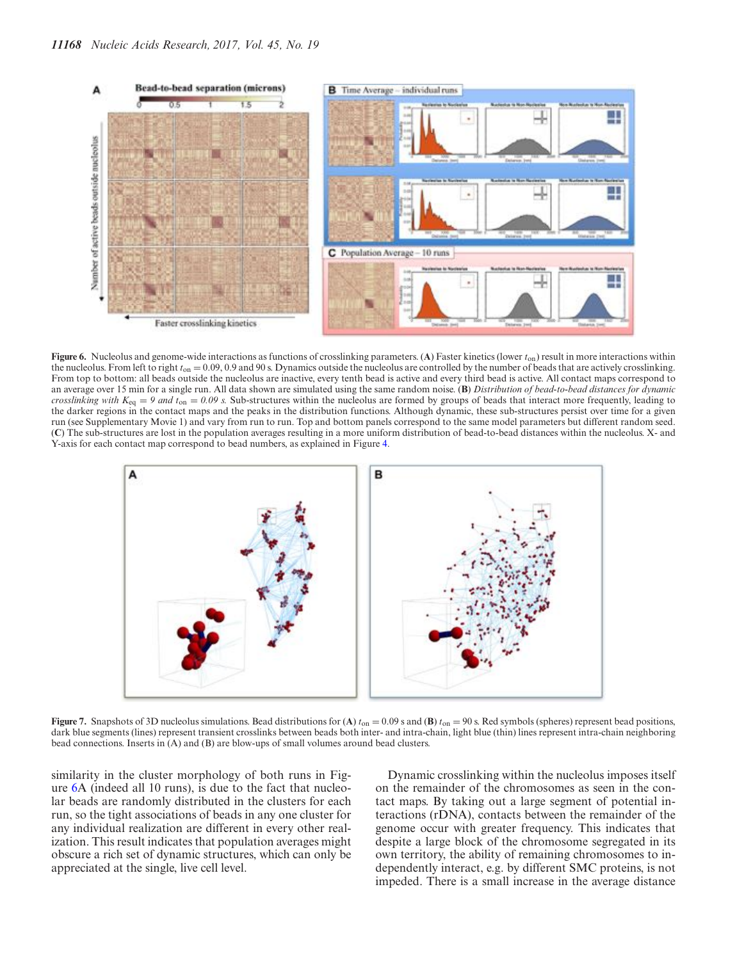<span id="page-9-0"></span>

Figure 6. Nucleolus and genome-wide interactions as functions of crosslinking parameters. (A) Faster kinetics (lower  $t_{on}$ ) result in more interactions within the nucleolus. From left to right  $t_{on} = 0.09, 0.9$  and 90 s. Dynamics outside the nucleolus are controlled by the number of beads that are actively crosslinking. From top to bottom: all beads outside the nucleolus are inactive, every tenth bead is active and every third bead is active. All contact maps correspond to an average over 15 min for a single run. All data shown are simulated using the same random noise. (**B**) *Distribution of bead-to-bead distances for dynamic crosslinking with*  $K_{eq} = 9$  *and*  $t_{on} = 0.09$  *s.* Sub-structures within the nucleolus are formed by groups of beads that interact more frequently, leading to the darker regions in the contact maps and the peaks in the distribution functions. Although dynamic, these sub-structures persist over time for a given run (see Supplementary Movie 1) and vary from run to run. Top and bottom panels correspond to the same model parameters but different random seed. (**C**) The sub-structures are lost in the population averages resulting in a more uniform distribution of bead-to-bead distances within the nucleolus. X- and Y-axis for each contact map correspond to bead numbers, as explained in Figure [4.](#page-6-0)



**Figure 7.** Snapshots of 3D nucleolus simulations. Bead distributions for (A)  $t_{on} = 0.09$  s and (B)  $t_{on} = 90$  s. Red symbols (spheres) represent bead positions, dark blue segments (lines) represent transient crosslinks between beads both inter- and intra-chain, light blue (thin) lines represent intra-chain neighboring bead connections. Inserts in (A) and (B) are blow-ups of small volumes around bead clusters.

similarity in the cluster morphology of both runs in Figure 6A (indeed all 10 runs), is due to the fact that nucleolar beads are randomly distributed in the clusters for each run, so the tight associations of beads in any one cluster for any individual realization are different in every other realization. This result indicates that population averages might obscure a rich set of dynamic structures, which can only be appreciated at the single, live cell level.

Dynamic crosslinking within the nucleolus imposes itself on the remainder of the chromosomes as seen in the contact maps. By taking out a large segment of potential interactions (rDNA), contacts between the remainder of the genome occur with greater frequency. This indicates that despite a large block of the chromosome segregated in its own territory, the ability of remaining chromosomes to independently interact, e.g. by different SMC proteins, is not impeded. There is a small increase in the average distance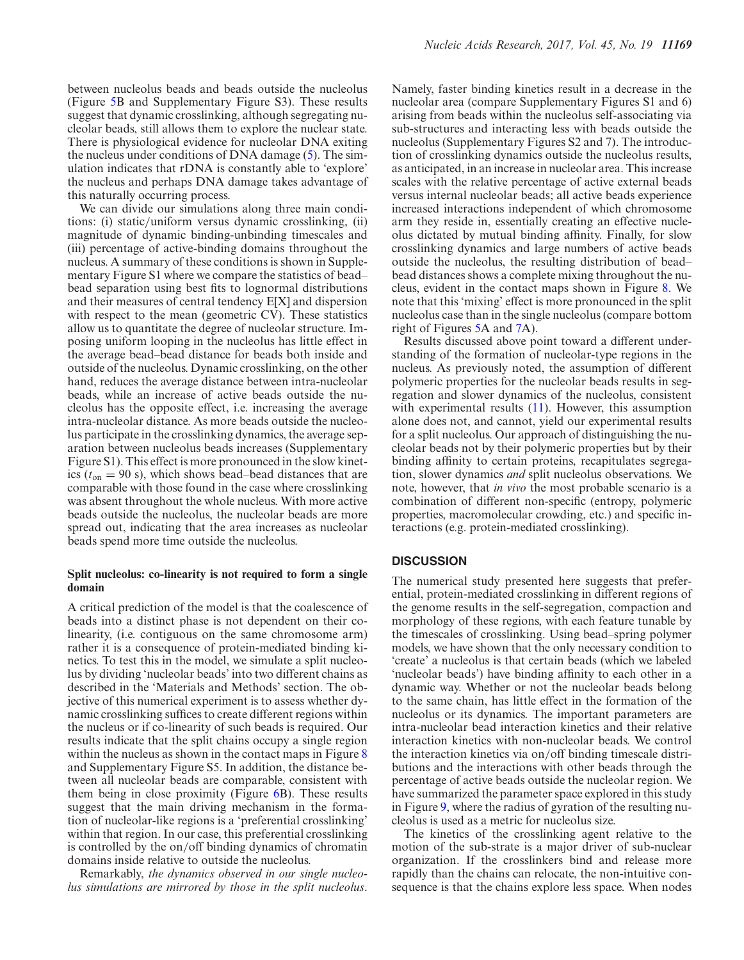between nucleolus beads and beads outside the nucleolus (Figure [5B](#page-8-0) and Supplementary Figure S3). These results suggest that dynamic crosslinking, although segregating nucleolar beads, still allows them to explore the nuclear state. There is physiological evidence for nucleolar DNA exiting the nucleus under conditions of DNA damage [\(5\)](#page-12-0). The simulation indicates that rDNA is constantly able to 'explore' the nucleus and perhaps DNA damage takes advantage of this naturally occurring process.

We can divide our simulations along three main conditions: (i) static/uniform versus dynamic crosslinking, (ii) magnitude of dynamic binding-unbinding timescales and (iii) percentage of active-binding domains throughout the nucleus. A summary of these conditions is shown in Supplementary Figure S1 where we compare the statistics of bead– bead separation using best fts to lognormal distributions and their measures of central tendency E[X] and dispersion with respect to the mean (geometric CV). These statistics allow us to quantitate the degree of nucleolar structure. Imposing uniform looping in the nucleolus has little effect in the average bead–bead distance for beads both inside and outside of the nucleolus. Dynamic crosslinking, on the other hand, reduces the average distance between intra-nucleolar beads, while an increase of active beads outside the nucleolus has the opposite effect, i.e. increasing the average intra-nucleolar distance. As more beads outside the nucleolus participate in the crosslinking dynamics, the average separation between nucleolus beads increases (Supplementary Figure S1). This effect is more pronounced in the slow kinetics ( $t_{on}$  = 90 s), which shows bead–bead distances that are comparable with those found in the case where crosslinking was absent throughout the whole nucleus. With more active beads outside the nucleolus, the nucleolar beads are more spread out, indicating that the area increases as nucleolar beads spend more time outside the nucleolus.

# **Split nucleolus: co-linearity is not required to form a single domain**

A critical prediction of the model is that the coalescence of beads into a distinct phase is not dependent on their colinearity, (i.e. contiguous on the same chromosome arm) rather it is a consequence of protein-mediated binding kinetics. To test this in the model, we simulate a split nucleolus by dividing 'nucleolar beads' into two different chains as described in the 'Materials and Methods' section. The objective of this numerical experiment is to assess whether dynamic crosslinking suffices to create different regions within the nucleus or if co-linearity of such beads is required. Our results indicate that the split chains occupy a single region within the nucleus as shown in the contact maps in Figure [8](#page-11-0) and Supplementary Figure S5. In addition, the distance between all nucleolar beads are comparable, consistent with them being in close proximity (Figure [6B](#page-9-0)). These results suggest that the main driving mechanism in the formation of nucleolar-like regions is a 'preferential crosslinking' within that region. In our case, this preferential crosslinking is controlled by the on/off binding dynamics of chromatin domains inside relative to outside the nucleolus.

Remarkably, *the dynamics observed in our single nucleolus simulations are mirrored by those in the split nucleolus*. Namely, faster binding kinetics result in a decrease in the nucleolar area (compare Supplementary Figures S1 and 6) arising from beads within the nucleolus self-associating via sub-structures and interacting less with beads outside the nucleolus (Supplementary Figures S2 and 7). The introduction of crosslinking dynamics outside the nucleolus results, as anticipated, in an increase in nucleolar area. This increase scales with the relative percentage of active external beads versus internal nucleolar beads; all active beads experience increased interactions independent of which chromosome arm they reside in, essentially creating an effective nucleolus dictated by mutual binding affnity. Finally, for slow crosslinking dynamics and large numbers of active beads outside the nucleolus, the resulting distribution of bead– bead distances shows a complete mixing throughout the nucleus, evident in the contact maps shown in Figure [8.](#page-11-0) We note that this 'mixing' effect is more pronounced in the split nucleolus case than in the single nucleolus (compare bottom right of Figures [5A](#page-8-0) and [7A](#page-9-0)).

Results discussed above point toward a different understanding of the formation of nucleolar-type regions in the nucleus. As previously noted, the assumption of different polymeric properties for the nucleolar beads results in segregation and slower dynamics of the nucleolus, consistent with experimental results [\(11\)](#page-13-0). However, this assumption alone does not, and cannot, yield our experimental results for a split nucleolus. Our approach of distinguishing the nucleolar beads not by their polymeric properties but by their binding affnity to certain proteins, recapitulates segregation, slower dynamics *and* split nucleolus observations. We note, however, that *in vivo* the most probable scenario is a combination of different non-specifc (entropy, polymeric properties, macromolecular crowding, etc.) and specifc interactions (e.g. protein-mediated crosslinking).

# **DISCUSSION**

The numerical study presented here suggests that preferential, protein-mediated crosslinking in different regions of the genome results in the self-segregation, compaction and morphology of these regions, with each feature tunable by the timescales of crosslinking. Using bead–spring polymer models, we have shown that the only necessary condition to 'create' a nucleolus is that certain beads (which we labeled 'nucleolar beads') have binding affnity to each other in a dynamic way. Whether or not the nucleolar beads belong to the same chain, has little effect in the formation of the nucleolus or its dynamics. The important parameters are intra-nucleolar bead interaction kinetics and their relative interaction kinetics with non-nucleolar beads. We control the interaction kinetics via on/off binding timescale distributions and the interactions with other beads through the percentage of active beads outside the nucleolar region. We have summarized the parameter space explored in this study in Figure [9,](#page-11-0) where the radius of gyration of the resulting nucleolus is used as a metric for nucleolus size.

The kinetics of the crosslinking agent relative to the motion of the sub-strate is a major driver of sub-nuclear organization. If the crosslinkers bind and release more rapidly than the chains can relocate, the non-intuitive consequence is that the chains explore less space. When nodes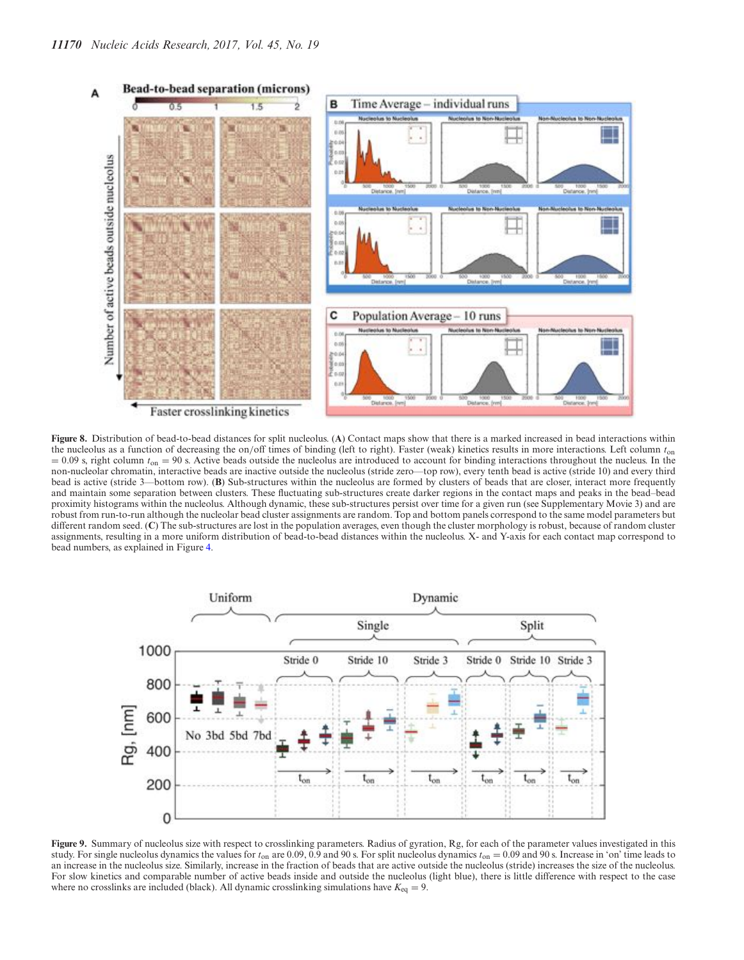<span id="page-11-0"></span>

**Figure 8.** Distribution of bead-to-bead distances for split nucleolus. (**A**) Contact maps show that there is a marked increased in bead interactions within the nucleolus as a function of decreasing the on/off times of binding (left to right). Faster (weak) kinetics results in more interactions. Left column *t*on  $= 0.09$  s, right column  $t_{on} = 90$  s. Active beads outside the nucleolus are introduced to account for binding interactions throughout the nucleus. In the non-nucleolar chromatin, interactive beads are inactive outside the nucleolus (stride zero––top row), every tenth bead is active (stride 10) and every third bead is active (stride 3––bottom row). (**B**) Sub-structures within the nucleolus are formed by clusters of beads that are closer, interact more frequently and maintain some separation between clusters. These fuctuating sub-structures create darker regions in the contact maps and peaks in the bead–bead proximity histograms within the nucleolus. Although dynamic, these sub-structures persist over time for a given run (see Supplementary Movie 3) and are robust from run-to-run although the nucleolar bead cluster assignments are random. Top and bottom panels correspond to the same model parameters but different random seed. (**C**) The sub-structures are lost in the population averages, even though the cluster morphology is robust, because of random cluster assignments, resulting in a more uniform distribution of bead-to-bead distances within the nucleolus. X- and Y-axis for each contact map correspond to bead numbers, as explained in Figure [4.](#page-6-0)



Figure 9. Summary of nucleolus size with respect to crosslinking parameters. Radius of gyration, Rg, for each of the parameter values investigated in this study. For single nucleolus dynamics the values for  $t_{on}$  are  $0.09, 0.9$  and 90 s. For split nucleolus dynamics  $t_{on} = 0.09$  and 90 s. Increase in 'on' time leads to an increase in the nucleolus size. Similarly, increase in the fraction of beads that are active outside the nucleolus (stride) increases the size of the nucleolus. For slow kinetics and comparable number of active beads inside and outside the nucleolus (light blue), there is little difference with respect to the case where no crosslinks are included (black). All dynamic crosslinking simulations have  $K_{\text{eq}} = 9$ .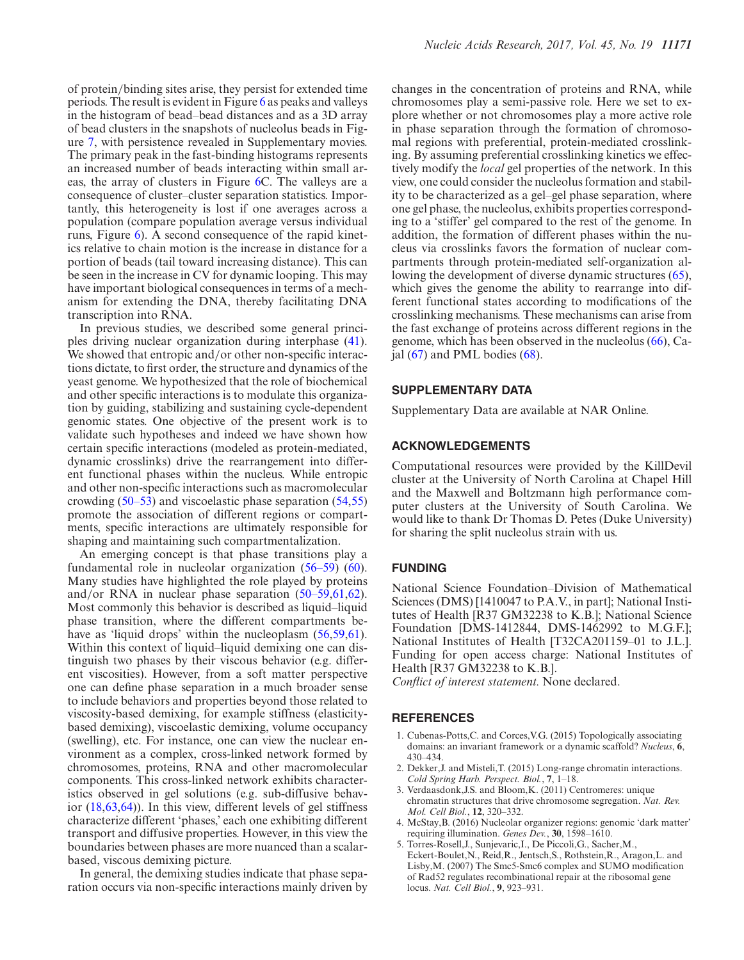<span id="page-12-0"></span>of protein/binding sites arise, they persist for extended time periods. The result is evident in Figure [6](#page-9-0) as peaks and valleys in the histogram of bead–bead distances and as a 3D array of bead clusters in the snapshots of nucleolus beads in Figure [7,](#page-9-0) with persistence revealed in Supplementary movies. The primary peak in the fast-binding histograms represents an increased number of beads interacting within small areas, the array of clusters in Figure [6C](#page-9-0). The valleys are a consequence of cluster–cluster separation statistics. Importantly, this heterogeneity is lost if one averages across a population (compare population average versus individual runs, Figure [6\)](#page-9-0). A second consequence of the rapid kinetics relative to chain motion is the increase in distance for a portion of beads (tail toward increasing distance). This can be seen in the increase in CV for dynamic looping. This may have important biological consequences in terms of a mechanism for extending the DNA, thereby facilitating DNA transcription into RNA.

In previous studies, we described some general principles driving nuclear organization during interphase [\(41\)](#page-13-0). We showed that entropic and/or other non-specifc interactions dictate, to frst order, the structure and dynamics of the yeast genome. We hypothesized that the role of biochemical and other specifc interactions is to modulate this organization by guiding, stabilizing and sustaining cycle-dependent genomic states. One objective of the present work is to validate such hypotheses and indeed we have shown how certain specifc interactions (modeled as protein-mediated, dynamic crosslinks) drive the rearrangement into different functional phases within the nucleus. While entropic and other non-specifc interactions such as macromolecular crowding [\(50–53\)](#page-14-0) and viscoelastic phase separation [\(54,55\)](#page-14-0) promote the association of different regions or compartments, specifc interactions are ultimately responsible for shaping and maintaining such compartmentalization.

An emerging concept is that phase transitions play a fundamental role in nucleolar organization [\(56–59\)](#page-14-0) [\(60\)](#page-14-0). Many studies have highlighted the role played by proteins and/or RNA in nuclear phase separation [\(50–59,61,62\)](#page-14-0). Most commonly this behavior is described as liquid–liquid phase transition, where the different compartments be-have as 'liquid drops' within the nucleoplasm [\(56,59,61\)](#page-14-0). Within this context of liquid–liquid demixing one can distinguish two phases by their viscous behavior (e.g. different viscosities). However, from a soft matter perspective one can defne phase separation in a much broader sense to include behaviors and properties beyond those related to viscosity-based demixing, for example stiffness (elasticitybased demixing), viscoelastic demixing, volume occupancy (swelling), etc. For instance, one can view the nuclear environment as a complex, cross-linked network formed by chromosomes, proteins, RNA and other macromolecular components. This cross-linked network exhibits characteristics observed in gel solutions (e.g. sub-diffusive behavior [\(18,](#page-13-0)[63,64\)](#page-14-0)). In this view, different levels of gel stiffness characterize different 'phases,' each one exhibiting different transport and diffusive properties. However, in this view the boundaries between phases are more nuanced than a scalarbased, viscous demixing picture.

In general, the demixing studies indicate that phase separation occurs via non-specifc interactions mainly driven by

changes in the concentration of proteins and RNA, while chromosomes play a semi-passive role. Here we set to explore whether or not chromosomes play a more active role in phase separation through the formation of chromosomal regions with preferential, protein-mediated crosslinking. By assuming preferential crosslinking kinetics we effectively modify the *local* gel properties of the network. In this view, one could consider the nucleolus formation and stability to be characterized as a gel–gel phase separation, where one gel phase, the nucleolus, exhibits properties corresponding to a 'stiffer' gel compared to the rest of the genome. In addition, the formation of different phases within the nucleus via crosslinks favors the formation of nuclear compartments through protein-mediated self-organization allowing the development of diverse dynamic structures [\(65\)](#page-14-0), which gives the genome the ability to rearrange into different functional states according to modifcations of the crosslinking mechanisms. These mechanisms can arise from the fast exchange of proteins across different regions in the genome, which has been observed in the nucleolus [\(66\)](#page-14-0), Cajal  $(67)$  and PML bodies  $(68)$ .

# **SUPPLEMENTARY DATA**

Supplementary Data are available at NAR Online.

# **ACKNOWLEDGEMENTS**

Computational resources were provided by the KillDevil cluster at the University of North Carolina at Chapel Hill and the Maxwell and Boltzmann high performance computer clusters at the University of South Carolina. We would like to thank Dr Thomas D. Petes (Duke University) for sharing the split nucleolus strain with us.

# **FUNDING**

National Science Foundation–Division of Mathematical Sciences (DMS) [1410047 to P.A.V., in part]; National Institutes of Health [R37 GM32238 to K.B.]; National Science Foundation [DMS-1412844, DMS-1462992 to M.G.F.]; National Institutes of Health [T32CA201159–01 to J.L.]. Funding for open access charge: National Institutes of Health [R37 GM32238 to K.B.].

*Confict of interest statement.* None declared.

#### **REFERENCES**

- 1. Cubenas-Potts,C. and Corces,V.G. (2015) Topologically associating domains: an invariant framework or a dynamic scaffold? *Nucleus*, **6**, 430–434.
- 2. Dekker,J. and Misteli,T. (2015) Long-range chromatin interactions. *Cold Spring Harb. Perspect. Biol.*, **7**, 1–18.
- 3. Verdaasdonk,J.S. and Bloom,K. (2011) Centromeres: unique chromatin structures that drive chromosome segregation. *Nat. Rev. Mol. Cell Biol.*, **12**, 320–332.
- 4. McStay,B. (2016) Nucleolar organizer regions: genomic 'dark matter' requiring illumination. *Genes Dev.*, **30**, 1598–1610.
- 5. Torres-Rosell,J., Sunjevaric,I., De Piccoli,G., Sacher,M., Eckert-Boulet,N., Reid,R., Jentsch,S., Rothstein,R., Aragon,L. and Lisby,M. (2007) The Smc5-Smc6 complex and SUMO modifcation of Rad52 regulates recombinational repair at the ribosomal gene locus. *Nat. Cell Biol.*, **9**, 923–931.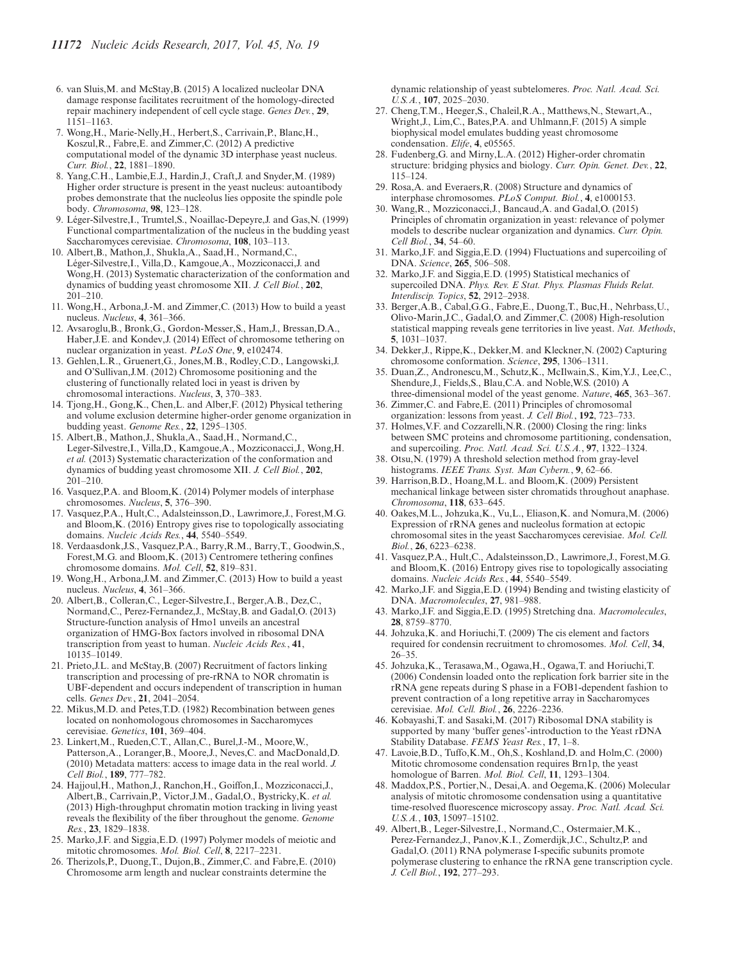- <span id="page-13-0"></span>6. van Sluis,M. and McStay,B. (2015) A localized nucleolar DNA damage response facilitates recruitment of the homology-directed repair machinery independent of cell cycle stage. *Genes Dev.*, **29**, 1151–1163.
- 7. Wong,H., Marie-Nelly,H., Herbert,S., Carrivain,P., Blanc,H., Koszul,R., Fabre,E. and Zimmer,C. (2012) A predictive computational model of the dynamic 3D interphase yeast nucleus. *Curr. Biol.*, **22**, 1881–1890.
- 8. Yang,C.H., Lambie,E.J., Hardin,J., Craft,J. and Snyder,M. (1989) Higher order structure is present in the yeast nucleus: autoantibody probes demonstrate that the nucleolus lies opposite the spindle pole body. *Chromosoma*, **98**, 123–128.
- 9. Léger-Silvestre, I., Trumtel, S., Noaillac-Depeyre, J. and Gas, N. (1999) Functional compartmentalization of the nucleus in the budding yeast Saccharomyces cerevisiae. *Chromosoma*, **108**, 103–113.
- 10. Albert,B., Mathon,J., Shukla,A., Saad,H., Normand,C., Léger-Silvestre, I., Villa, D., Kamgoue, A., Mozziconacci, J. and Wong,H. (2013) Systematic characterization of the conformation and dynamics of budding yeast chromosome XII. *J. Cell Biol.*, **202**, 201–210.
- 11. Wong,H., Arbona,J.-M. and Zimmer,C. (2013) How to build a yeast nucleus. *Nucleus*, **4**, 361–366.
- 12. Avsaroglu,B., Bronk,G., Gordon-Messer,S., Ham,J., Bressan,D.A., Haber,J.E. and Kondev,J. (2014) Effect of chromosome tethering on nuclear organization in yeast. *PLoS One*, **9**, e102474.
- 13. Gehlen,L.R., Gruenert,G., Jones,M.B., Rodley,C.D., Langowski,J. and O'Sullivan,J.M. (2012) Chromosome positioning and the clustering of functionally related loci in yeast is driven by chromosomal interactions. *Nucleus*, **3**, 370–383.
- 14. Tjong,H., Gong,K., Chen,L. and Alber,F. (2012) Physical tethering and volume exclusion determine higher-order genome organization in budding yeast. *Genome Res.*, **22**, 1295–1305.
- 15. Albert,B., Mathon,J., Shukla,A., Saad,H., Normand,C., Leger-Silvestre,I., Villa,D., Kamgoue,A., Mozziconacci,J., Wong,H. *et al.* (2013) Systematic characterization of the conformation and dynamics of budding yeast chromosome XII. *J. Cell Biol.*, **202**, 201–210.
- 16. Vasquez,P.A. and Bloom,K. (2014) Polymer models of interphase chromosomes. *Nucleus*, **5**, 376–390.
- 17. Vasquez,P.A., Hult,C., Adalsteinsson,D., Lawrimore,J., Forest,M.G. and Bloom,K. (2016) Entropy gives rise to topologically associating domains. *Nucleic Acids Res.*, **44**, 5540–5549.
- 18. Verdaasdonk,J.S., Vasquez,P.A., Barry,R.M., Barry,T., Goodwin,S., Forest,M.G. and Bloom,K. (2013) Centromere tethering confnes chromosome domains. *Mol. Cell*, **52**, 819–831.
- 19. Wong,H., Arbona,J.M. and Zimmer,C. (2013) How to build a yeast nucleus. *Nucleus*, **4**, 361–366.
- 20. Albert,B., Colleran,C., Leger-Silvestre,I., Berger,A.B., Dez,C., Normand,C., Perez-Fernandez,J., McStay,B. and Gadal,O. (2013) Structure-function analysis of Hmo1 unveils an ancestral organization of HMG-Box factors involved in ribosomal DNA transcription from yeast to human. *Nucleic Acids Res.*, **41**, 10135–10149.
- 21. Prieto,J.L. and McStay,B. (2007) Recruitment of factors linking transcription and processing of pre-rRNA to NOR chromatin is UBF-dependent and occurs independent of transcription in human cells. *Genes Dev.*, **21**, 2041–2054.
- 22. Mikus,M.D. and Petes,T.D. (1982) Recombination between genes located on nonhomologous chromosomes in Saccharomyces cerevisiae. *Genetics*, **101**, 369–404.
- 23. Linkert,M., Rueden,C.T., Allan,C., Burel,J.-M., Moore,W., Patterson,A., Loranger,B., Moore,J., Neves,C. and MacDonald,D. (2010) Metadata matters: access to image data in the real world. *J. Cell Biol.*, **189**, 777–782.
- 24. Hajjoul,H., Mathon,J., Ranchon,H., Goiffon,I., Mozziconacci,J., Albert,B., Carrivain,P., Victor,J.M., Gadal,O., Bystricky,K. *et al.* (2013) High-throughput chromatin motion tracking in living yeast reveals the fexibility of the fber throughout the genome. *Genome Res.*, **23**, 1829–1838.
- 25. Marko,J.F. and Siggia,E.D. (1997) Polymer models of meiotic and mitotic chromosomes. *Mol. Biol. Cell*, **8**, 2217–2231.
- 26. Therizols,P., Duong,T., Dujon,B., Zimmer,C. and Fabre,E. (2010) Chromosome arm length and nuclear constraints determine the

dynamic relationship of yeast subtelomeres. *Proc. Natl. Acad. Sci. U.S.A.*, **107**, 2025–2030.

- 27. Cheng,T.M., Heeger,S., Chaleil,R.A., Matthews,N., Stewart,A., Wright,J., Lim,C., Bates,P.A. and Uhlmann,F. (2015) A simple biophysical model emulates budding yeast chromosome condensation. *Elife*, **4**, e05565.
- 28. Fudenberg,G. and Mirny,L.A. (2012) Higher-order chromatin structure: bridging physics and biology. *Curr. Opin. Genet. Dev.*, **22**, 115–124.
- 29. Rosa,A. and Everaers,R. (2008) Structure and dynamics of interphase chromosomes. *PLoS Comput. Biol.*, **4**, e1000153.
- 30. Wang,R., Mozziconacci,J., Bancaud,A. and Gadal,O. (2015) Principles of chromatin organization in yeast: relevance of polymer models to describe nuclear organization and dynamics. *Curr. Opin. Cell Biol.*, **34**, 54–60.
- 31. Marko,J.F. and Siggia,E.D. (1994) Fluctuations and supercoiling of DNA. *Science*, **265**, 506–508.
- 32. Marko,J.F. and Siggia,E.D. (1995) Statistical mechanics of supercoiled DNA. *Phys. Rev. E Stat. Phys. Plasmas Fluids Relat. Interdiscip. Topics*, **52**, 2912–2938.
- 33. Berger,A.B., Cabal,G.G., Fabre,E., Duong,T., Buc,H., Nehrbass,U., Olivo-Marin,J.C., Gadal,O. and Zimmer,C. (2008) High-resolution statistical mapping reveals gene territories in live yeast. *Nat. Methods*, **5**, 1031–1037.
- 34. Dekker,J., Rippe,K., Dekker,M. and Kleckner,N. (2002) Capturing chromosome conformation. *Science*, **295**, 1306–1311.
- 35. Duan,Z., Andronescu,M., Schutz,K., McIlwain,S., Kim,Y.J., Lee,C., Shendure,J., Fields,S., Blau,C.A. and Noble,W.S. (2010) A three-dimensional model of the yeast genome. *Nature*, **465**, 363–367.
- 36. Zimmer,C. and Fabre,E. (2011) Principles of chromosomal organization: lessons from yeast. *J. Cell Biol.*, **192**, 723–733.
- 37. Holmes,V.F. and Cozzarelli,N.R. (2000) Closing the ring: links between SMC proteins and chromosome partitioning, condensation, and supercoiling. *Proc. Natl. Acad. Sci. U.S.A.*, **97**, 1322–1324.
- 38. Otsu,N. (1979) A threshold selection method from gray-level histograms. *IEEE Trans. Syst. Man Cybern.*, **9**, 62–66.
- 39. Harrison,B.D., Hoang,M.L. and Bloom,K. (2009) Persistent mechanical linkage between sister chromatids throughout anaphase. *Chromosoma*, **118**, 633–645.
- 40. Oakes,M.L., Johzuka,K., Vu,L., Eliason,K. and Nomura,M. (2006) Expression of rRNA genes and nucleolus formation at ectopic chromosomal sites in the yeast Saccharomyces cerevisiae. *Mol. Cell. Biol.*, **26**, 6223–6238.
- 41. Vasquez,P.A., Hult,C., Adalsteinsson,D., Lawrimore,J., Forest,M.G. and Bloom,K. (2016) Entropy gives rise to topologically associating domains. *Nucleic Acids Res.*, **44**, 5540–5549.
- 42. Marko,J.F. and Siggia,E.D. (1994) Bending and twisting elasticity of DNA. *Macromolecules*, **27**, 981–988.
- 43. Marko,J.F. and Siggia,E.D. (1995) Stretching dna. *Macromolecules*, **28**, 8759–8770.
- 44. Johzuka,K. and Horiuchi,T. (2009) The cis element and factors required for condensin recruitment to chromosomes. *Mol. Cell*, **34**, 26–35.
- 45. Johzuka,K., Terasawa,M., Ogawa,H., Ogawa,T. and Horiuchi,T. (2006) Condensin loaded onto the replication fork barrier site in the rRNA gene repeats during S phase in a FOB1-dependent fashion to prevent contraction of a long repetitive array in Saccharomyces cerevisiae. *Mol. Cell. Biol.*, **26**, 2226–2236.
- 46. Kobayashi,T. and Sasaki,M. (2017) Ribosomal DNA stability is supported by many 'buffer genes'-introduction to the Yeast rDNA Stability Database. *FEMS Yeast Res.*, **17**, 1–8.
- 47. Lavoie,B.D., Tuffo,K.M., Oh,S., Koshland,D. and Holm,C. (2000) Mitotic chromosome condensation requires Brn1p, the yeast homologue of Barren. *Mol. Biol. Cell*, **11**, 1293–1304.
- 48. Maddox,P.S., Portier,N., Desai,A. and Oegema,K. (2006) Molecular analysis of mitotic chromosome condensation using a quantitative time-resolved fuorescence microscopy assay. *Proc. Natl. Acad. Sci. U.S.A.*, **103**, 15097–15102.
- 49. Albert,B., Leger-Silvestre,I., Normand,C., Ostermaier,M.K., Perez-Fernandez,J., Panov,K.I., Zomerdijk,J.C., Schultz,P. and Gadal,O. (2011) RNA polymerase I-specifc subunits promote polymerase clustering to enhance the rRNA gene transcription cycle. *J. Cell Biol.*, **192**, 277–293.